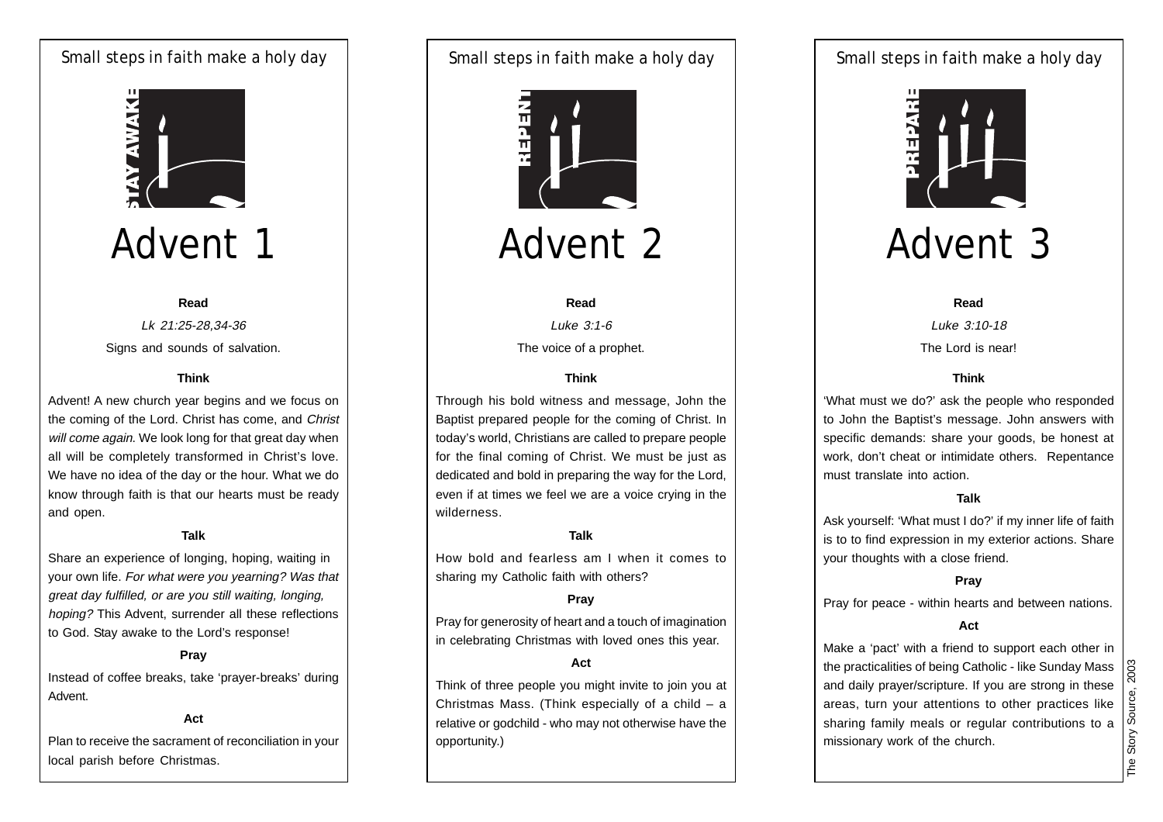### Small steps in faith make a holy day | Small steps in faith make a holy day | Small steps in faith make a holy day



## Advent 1

#### **Read**

Lk 21:25-28,34-36 Signs and sounds of salvation.

### **Think**

Advent! A new church year begins and we focus on the coming of the Lord. Christ has come, and Christ will come again. We look long for that great day when all will be completely transformed in Christ's love. We have no idea of the day or the hour. What we do know through faith is that our hearts must be ready and open.

### **Talk**

Share an experience of longing, hoping, waiting in your own life. For what were you yearning? Was that great day fulfilled, or are you still waiting, longing, hoping? This Advent, surrender all these reflections to God. Stay awake to the Lord's response!

### **Pray**

Instead of coffee breaks, take 'prayer-breaks' during Advent.

### **Act**

Plan to receive the sacrament of reconciliation in your local parish before Christmas.

Small steps in faith make a holy day



Advent 2

#### **Read**

Luke 3:1-6 The voice of a prophet.

### **Think**

Through his bold witness and message, John the Baptist prepared people for the coming of Christ. In today's world, Christians are called to prepare people for the final coming of Christ. We must be just as dedicated and bold in preparing the way for the Lord, even if at times we feel we are a voice crying in the wilderness.

### **Talk**

How bold and fearless am I when it comes to sharing my Catholic faith with others?

### **Pray**

Pray for generosity of heart and a touch of imagination in celebrating Christmas with loved ones this year.

### **Act**

Think of three people you might invite to join you at Christmas Mass. (Think especially of a child  $-$  a relative or godchild - who may not otherwise have the opportunity.)



## Advent 3

**Read** Luke 3:10-18 The Lord is near!

### **Think**

'What must we do?' ask the people who responded to John the Baptist's message. John answers with specific demands: share your goods, be honest at work, don't cheat or intimidate others. Repentance must translate into action.

### **Talk**

Ask yourself: 'What must I do?' if my inner life of faith is to to find expression in my exterior actions. Share your thoughts with a close friend.

### **Pray**

Pray for peace - within hearts and between nations.

#### **Act**

Make a 'pact' with a friend to support each other in the practicalities of being Catholic - like Sunday Mass and daily prayer/scripture. If you are strong in these areas, turn your attentions to other practices like sharing family meals or regular contributions to a missionary work of the church.